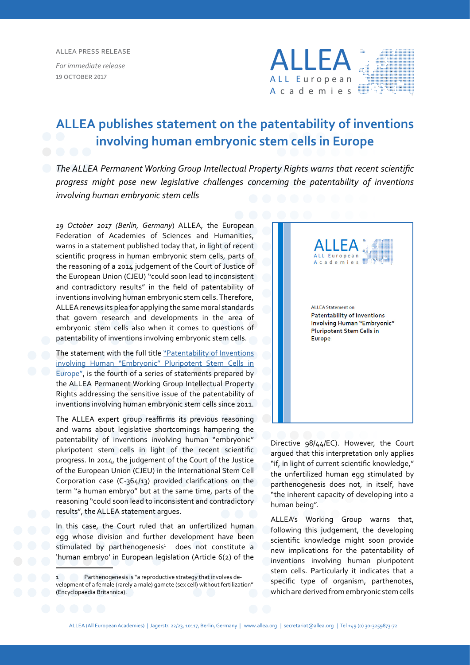#### ALLEA Press Release

*For immediate release* 19 OCTOber 2017



# **ALLEA publishes statement on the patentability of inventions involving human embryonic stem cells in Europe**

*The ALLEA Permanent Working Group Intellectual Property Rights warns that recent scientific progress might pose new legislative challenges concerning the patentability of inventions involving human embryonic stem cells*

*19 October 2017 (Berlin, Germany*) ALLEA, the European Federation of Academies of Sciences and Humanities, warns in a statement published today that, in light of recent scientific progress in human embryonic stem cells, parts of the reasoning of a 2014 judgement of the Court of Justice of the European Union (CJEU) "could soon lead to inconsistent and contradictory results" in the field of patentability of inventions involving human embryonic stem cells. Therefore, ALLEA renews its plea for applying the same moral standards that govern research and developments in the area of embryonic stem cells also when it comes to questions of patentability of inventions involving embryonic stem cells.

The statement with the full title "Patentability of Inventions [involving Human "Embryonic" Pluripotent Stem Cells in](http://www.allea.org/wp-content/uploads/2017/10/Statement_Stem_Cells_2017-Digital.pdf)  [Europe",](http://www.allea.org/wp-content/uploads/2017/10/Statement_Stem_Cells_2017-Digital.pdf) is the fourth of a series of statements prepared by the ALLEA Permanent Working Group Intellectual Property Rights addressing the sensitive issue of the patentability of inventions involving human embryonic stem cells since 2011.

The ALLEA expert group reaffirms its previous reasoning and warns about legislative shortcomings hampering the patentability of inventions involving human "embryonic" pluripotent stem cells in light of the recent scientific progress. In 2014, the judgement of the Court of the Justice of the European Union (CJEU) in the International Stem Cell Corporation case (C-364/13) provided clarifications on the term "a human embryo" but at the same time, parts of the reasoning "could soon lead to inconsistent and contradictory results", the ALLEA statement argues.

In this case, the Court ruled that an unfertilized human egg whose division and further development have been stimulated by parthenogenesis<sup>1</sup> does not constitute a 'human embryo' in European legislation (Article 6(2) of the



Directive 98/44/EC). However, the Court argued that this interpretation only applies "if, in light of current scientific knowledge," the unfertilized human egg stimulated by parthenogenesis does not, in itself, have "the inherent capacity of developing into a human being".

ALLEA's Working Group warns that, following this judgement, the developing scientific knowledge might soon provide new implications for the patentability of inventions involving human pluripotent stem cells. Particularly it indicates that a specific type of organism, parthenotes, which are derived from embryonic stem cells

<sup>1</sup> Parthenogenesis is "a reproductive strategy that involves development of a female (rarely a male) gamete (sex cell) without fertilization" (Encyclopaedia Britannica).